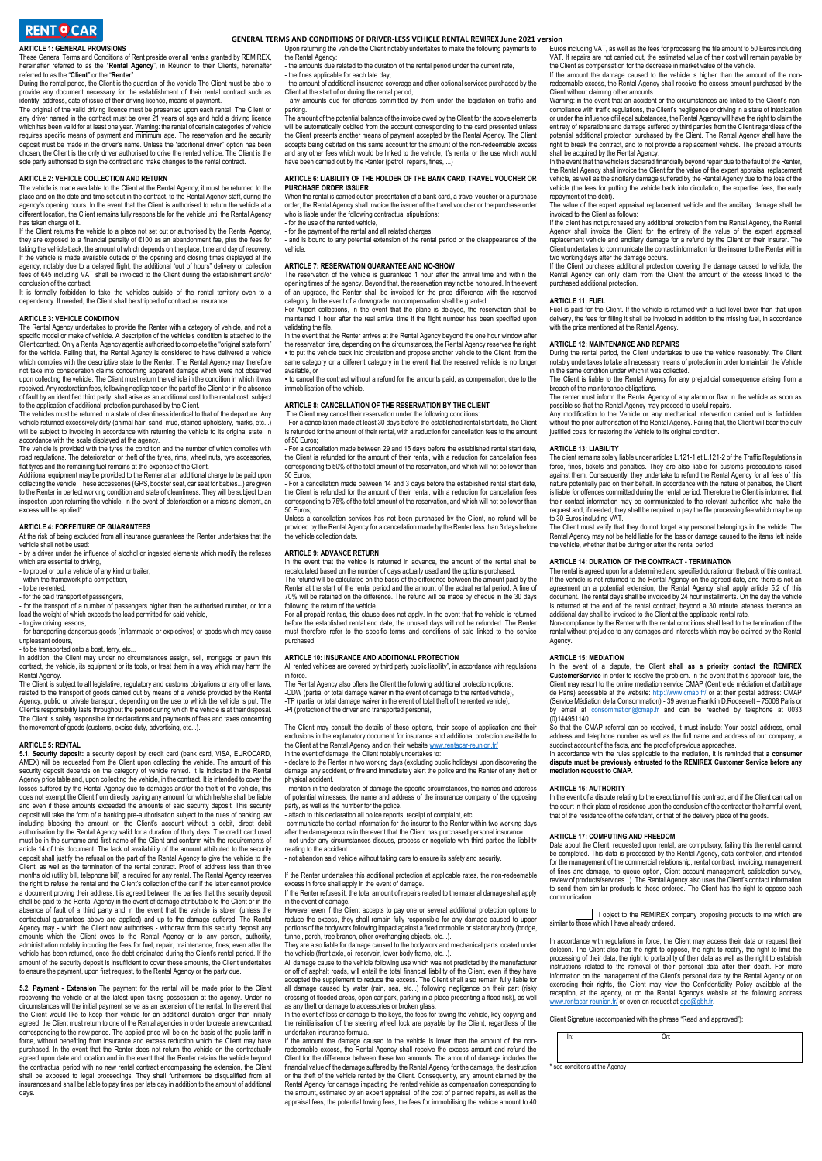#### **ARTICLE 1: GENERAL PROVISIONS**

The Conditions of Rent preside over all rentals granted by REMIREX, hereinafter referred to as the "**Rental Agency**", in Réunion to their Clients, hereinafter referred to as the "**Client**" or the "**Renter**".

During the rental period, the Client is the guardian of the vehicle The Client must be able to provide any document necessary for the establishment of their rental contract such as identity, address, date of issue of their driving licence, means of payment.

The original of the valid driving licence must be presented upon each rental. The Client or<br>any driver named in the contract must be over 21 years of age and hold a driving licence<br>which has been valid for atleast one year chosen, the Client is the only driver authorised to drive the rented vehicle. The Client is the sole party authorised to sign the contract and make changes to the rental context.

#### **ARTICLE 2: VEHICLE COLLECTION AND RETURN**

The vehicle is made available to the Client at the Rental Agency; it must be returned to the place and on the date and time set out in the contract, to the Rental Agency staff, during the agency's opening hours. In the event that the Client is authorised to return the vehicle at a different location, the Client remains fully responsible for the vehicle until the Rental Agency has taken charge of it.

If the Client returns the vehicle to a place not set out or authorised by the Rental Agency,<br>they are exposed to a financial penalty of €100 as an abandonment fee, plus the fees for<br>taking the vehicle back, the amount of w If the vehicle is made available outside of the opening and closing times displayed at the<br>agency, notably due to a delayed flight, the additional "out of hours" delivery or collection<br>fees of €45 including VAT shall be in conclusion of the contract.

It is formally forbidden to take the vehicles outside of the rental territory even to a dependency. If needed, the Client shall be stripped of contractual insurance.

#### **ARTICLE 3: VEHICLE CONDITION**

The Rental Agency undertakes to provide the Renter with a category of vehicle, and not a<br>specific model or make of vehicle. A description of the vehicle's condition is attached to the<br>Client contract. Only a Rental Agency which complies with the descriptive state to the Renter. The Rental Agency may therefore not take into consideration claims concerning apparent damage which were not observed upon collecting the vehicle. The Client must return the vehicle in the condition in which it was received. Any restoration fees, following negligence on the part of the Client or in the absence of fault by an identified third party, shall arise as an additional cost to the rental cost, subject

to the application of additional protection purchased by the Client. The vehicles must be returned in a state of cleanliness identical to that of the departure. Any vehicle returned excessively dirty (animal hair, sand, mud, stained upholstery, marks, etc...) will be subject to invoicing in accordance with returning the vehicle to its original state, in

accordance with the scale displayed at the agency.<br>The vehicle is provided with the tyres the condition and the number of which complies with<br>road regulations. The deterioration or theft of the tyres, rims, wheel nuts, tyr flat tyres and the remaining fuel remains at the expense of the Client. Additional equipment may be provided to the Renter at an additional charge to be paid upon

collecting the vehicle. These accessories (GPS, booster seat, car seat for babies...) are given to the Renter in perfect working condition and state of cleanliness. They will be subject to an inspection upon returning the vehicle. In the event of deterioration or a missing element, an excess will be applied\*.

#### **ARTICLE 4: FORFEITURE OF GUARANTEES**

At the risk of being excluded from all insurance guarantees the Renter undertakes that the<br>vehicle shall not be used:<br>- by a driver under the influence of alcohol or ingested elements which modify the reflexes

which are essential to driving,

- to propel or pull a vehicle of any kind or trailer,<br>- within the framework of a competition all a venicle of any kind

- to be re-rented,

- for the paid transport of passengers,

- for the transport of a number of passengers higher than the authorised number, or for a load the weight of which exceeds the load permitted for said vehicle, - to give driving lessons,

- for transporting dangerous goods (inflammable or explosives) or goods which may cause unpleasant odours,

- to be transported onto a boat, ferry, etc...<br>In addition, the Client may under no circumstances assign, sell, mortgage or pawn this<br>contract, the vehicle, its equipment or its tools, or treat them in a way which may harm

Rental Agency;<br>The Client is subject to all legislative, regulatory and customs obligations or any other laws,<br>related to the transport of goods carried out by means of a vehicle provided by the Rental<br>Agency, public or pr The Client is solely responsible for declarations and payments of fees and taxes concerning the movement of goods (customs, excise duty, advertising, etc...).

#### **ARTICLE 5: RENTAL**

**5.1. Security deposit:** a security deposit by credit card (bank card, VISA, EUROCARD, AMEX) will be requested from the Client upon collecting the vehicle. The amount of this security deposit depends on the category of vehicle rented. It is indicated in the Rental Agency price table and, upon collecting the vehicle, in the contract. It is intended to cover the losses suffered by the Rental Agency due to damages and/or the theft of the vehicle, this<br>does not exempt the Client from directly paying any amount for which he/she shall be liable<br>and even if these amounts exceeded the a deposit will take the form of a banking pre-authorisation subject to the rules of banking law<br>including blocking the amount on the Client's account without a debit, direct debit<br>authorisation by the Rental Agenc must be in the surname and first name of the Client and conform with the requirements of article 14 of this document. The lack of availability of the amount attributed to the security deposit shall justify the refusal on the part of the Rental Agency to give the vehicle to the Client, as well as the termination of the rental contract. Proof of address less than three months old (utility bill, telephone bill) is required for any rental. The Rental Agency reserves the right to refuse the rental and the Client's collection of the car if the latter cannot provide a document proving their address.It is agreed between the parties that this security deposit<br>shall be paid to the Rental Agency in the event of damage attributable to the Client or in the<br>absence of fault of a third party contractual guarantees above are applied) and up to the damage suffered. The Rental Agency may - which the Client now authorises - withdraw from this security deposit any mounts which the Client now authorises - withdraw from this security deposit any<br>hounts which the Client owes to the Rental Agency or to any person, authority<br>case away after the administration notably including the fees for fuel, repair, maintenance, fines; even after the vehicle has been returned, once the debt originated during the Client's rental period. If the amount of the security denosit is insufficient to cover these amounts the Client undertakes amount of the security deposit is insufficient to cover these amounts, the Client undertakes to ensure the payment, upon first request, to the Rental Agency or the party due.

5.2. Payment - Extension The payment for the rental will be made prior to the Client<br>recovering the vehicle or at the latest upon taking possession at the agency. Under no<br>circumstances will the initial payment serve as an agreed, the Client must return to one of the Rental agencies in order to create a new contract<br>corresponding to the new period. The applied price will be on the basis of the public tariff in<br>force, without benefiting from agreed upon date and location and in the event that the Renter retains the vehicle beyond the contractual period with no new rental contract encompassing the extension, the Client shall be exposed to legal proceedings. They shall furthermore be disqualified from all insurances and shall be liable to pay fines per late day in addition to the amount of additional days.

 **GENERAL TERMS AND CONDITIONS OF DRIVER-LESS VEHICLE RENTAL REMIREX June 2021 version**

Upon returning the vehicle the Client notably undertakes to make the following payments to the Rental Agency: - the amounts due related to the duration of the rental period under the current rate,

- the fines applicable for each late day.

- the amount of additional insurance coverage and other optional services purchased by the

Client at the start of or during the rental period, - any amounts due for offences committed by them under the legislation on traffic and

parking. The amount of the potential balance of the invoice owed by the Client for the above elements will be automatically debited from the account corresponding to the card presented unless<br>the Client presents another means of payment accepted by the Rental Agency. The Client<br>accepts being debited on this same account fo and any other fees which would be linked to the vehicle, it's rental or the use which would have been carried out by the Renter (petrol, repairs, fines, ...)

#### **ARTICLE 6: LIABILITY OF THE HOLDER OF THE BANK CARD, TRAVEL VOUCHER OR PURCHASE ORDER ISSUER**

When the rental is carried out on presentation of a bank card, a travel voucher or a purchase order, the Rental Agency shall invoice the issuer of the travel voucher or the purchase order who is liable under the following contractual stipulations:

- for the use of the rented vehicle,

- for the payment of the rental and all related charges, - and is bound to any potential extension of the rental period or the disappearance of the

vehicle.

#### **ARTICLE 7: RESERVATION GUARANTEE AND NO-SHOW**

The reservation of the vehicle is guaranteed 1 hour after the arrival time and within the<br>opening times of the agency. Beyond that, the reservation may not be honoured. In the event<br>of an upgrade, the Renter shall be invoi

category. In the event of a downgrade, no compensation shall be granted. For Airport collections, in the event that the plane is delayed, the reservation shall be maintained 1 hour after the real arrival time if the flight number has been specified upon validating the file.

In the event that the Renter arrives at the Rental Agency beyond the one hour window after<br>the reservation time, depending on the circumstances, the Rental Agency reserves the right:<br>▪ to put the vehicle back into circula same category or a different category in the event that the reserved vehicle is no longer available, or

▪ to cancel the contract without a refund for the amounts paid, as compensation, due to the immobilisation of the vehicle.

#### **ARTICLE 8: CANCELLATION OF THE RESERVATION BY THE CLIENT**

The Client may cancel their reservation under the following conditions: - For a cancellation made at least 30 days before the established rental start date, the Client is refunded for the amount of their rental, with a reduction for cancellation fees to the amount of 50 Euros;

- For a cancellation made between 29 and 15 days before the established rental start date, the Client is refunded for the amount of their rental, with a reduction for cancellation fees corresponding to 50% of the total amount of the reservation, and which will not be lower than 50 Euros;

- For a cancellation made between 14 and 3 days before the established rental start date, the Client is refunded for the amount of their rental, with a reduction for cancellation fees corresponding to 75% of the total amount of the reservation, and which will not be lower than 50 Euros;

' cancellation services has not been purchased by the Client, no refund will be provided by the Rental Agency for a cancellation made by the Renter less than 3 days before the vehicle collection date.

#### **ARTICLE 9: ADVANCE RETURN**

In the event that the vehicle is returned in advance, the amount of the rental shall be

recalculated based on the number of days actually used and the options purchased. The refund will be calculated on the basis of the difference between the amount paid by the Renter at the start of the rental period and the amount of the actual rental period. A fine of 70% will be retained on the difference. The refund will be made by cheque in the 30 days following the return of the vehicle.

For all prepaid rentals, this clause does not apply. In the event that the vehicle is returned before the established rental end date, the unused days will not be refunded. The Renter must therefore refer to the specific terms and conditions of sale linked to the service purchased.

### **ARTICLE 10: INSURANCE AND ADDITIONAL PROTECTION**

All rented vehicles are covered by third party public liability", in accordance with regulations in force.

The Rental Agency also offers the Client the following additional protection options:<br>-CDW (partial or total damage waiver in the event of damage to the rented vehicle),<br>-TP (partial or total damage waiver in the event of -PI (protection of the driver and transported persons),

The Client may consult the details of these options, their scope of application and their exclusions in the explanatory document for insurance and additional protection available to the Client at the Rental Agency and on their website <u>www.rentacar-reunion.fr/</u><br>In the event of damage, the Client notably undertakes to:<br>- declare to the Renter in two working days (excluding public holidays) upon discove

damage, any accident, or fire and immediately alert the police and the Renter of any theft or physical accident.

- mention in the declaration of damage the specific circumstances, the names and address of potential witnesses, the name and address of the insurance company of the opposing party, as well as the number for the police.

- attach to this declaration all police reports, receipt of complaint, etc...<br>-communicate the contact information for the insurer to the Renter within two working days<br>after the damage occurs in the event that the Client - not under any circumstances discuss, process or negotiate with third parties the liability

relating to the accident.

- not abandon said vehicle without taking care to ensure its safety and security.

If the Renter undertakes this additional protection at applicable rates, the non-redeemable excess in force shall apply in the event of damage. If the Renter refuses it, the total amount of repairs related to the material damage shall apply

in the event of damage. However even if the Client accepts to pay one or several additional protection options to

reduce the excess, they shall remain fully responsible for any damage caused to upper<br>portions of the bodywork following impact against a fixed or mobile or stationary body (bridge,<br>tunnel, porch, tree branch, other overha

They are also liable for damage caused to the bodywork and mechanical parts located under the vehicle (front axle, oil reservoir, lower body frame, etc...).

All damage cause to the vehicle following use which was not predicted by the manufacturer or off of asphalt roads, will entail the total financial liability of the Client, even if they have accepted the supplement to reduce the excess. The Client shall also remain fully liable for all damage caused by water (rain, sea, etc...) following negligence on their part (risky<br>crossing of flooded areas, open car park, parking in a place presenting a flood risk), as well<br>as any theft or damage to accessories

the reinitialisation of the steering wheel lock are payable by the Client, regardless of the undertaken insurance formula.

If the amount the damage caused to the vehicle is lower than the amount of the non-<br>redeemable excess, the Rental Agency shall receive the excess amount and refund the<br>Client for the difference between these two amounts. T financial value of the damage suffered by the Rental Agency for the damage, the destruction<br>or the theft of the vehicle rented by the Client. Consequently, any amount claimed by the<br>Rental Agency for damage impacting the r Euros including VAT, as well as the fees for processing the file amount to 50 Euros including<br>VAT. If repairs are not carried out, the estimated value of their cost will remain payable by<br>the Client as compensation for the

If the amount the damage caused to the vehicle is higher than the amount of the non-redeemable excess, the Rental Agency shall receive the excess amount purchased by the

Client without claiming other amounts. Warning: in the event that an accident or the circumstances are linked to the Client's noncompliance with traffic regulations, the Client's negligence or driving in a state of intoxication<br>or under the influence of illegal substances, the Rental Agency will have the right to claim the<br>entirety of reparations an

shall be acquired by the Rental Agency. In the event that the vehicle is declared financially beyond repair due to the fault of the Renter, the Rental Agency shall invoice the Client for the value of the expert appraisal replacement vehicle, as well as the ancillary damage suffered by the Rental Agency due to the loss of the vehicle (the fees for putting the vehicle back into circulation, the expertise fees, the early

repayment of the debt). The value of the expert appraisal replacement vehicle and the ancillary damage shall be invoiced to the Client as follows:

If the client has not purchased any additional protection from the Rental Agency, the Rental Agency shall invoice the Client for the entirety of the value of the expert appraisal<br>replacement vehicle and ancillary damage for a refund by the Client or their insurer. The<br>Client undertakes to communicate the contact i

two working days after the damage occurs.<br>If the Client purchases additional protection covering the damage caused to vehicle, the<br>Rental Agency can only claim from the Client the amount of the excess linked to the purchased additional protection.

**ARTICLE 11: FUEL**  Fuel is paid for the Client. If the vehicle is returned with a fuel level lower than that upon delivery, the fees for filling it shall be invoiced in addition to the missing fuel, in accordance with the price mentioned at the Rental Agency.

**ARTICLE 12: MAINTENANCE AND REPAIRS** During the rental period, the Client undertakes to use the vehicle reasonably. The Client notably undertakes to take all necessary means of protection in order to maintain the Vehicle in the same condition under which it was collected.

The Client is liable to the Rental Agency for any prejudicial consequence arising from a breach of the maintenance obligations.

The renter must inform the Rental Agency of any alarm or flaw in the vehicle as soon as

possible so that the Rental Agency may proceed to useful repairs. Any modification to the Vehicle or any mechanical intervention carried out is forbidden without the prior authorisation of the Rental Agency. Failing that, the Client will bear the duly justified costs for restoring the Vehicle to its original condition.

**ARTICLE 13: LIABILITY**  The client remains solely liable under articles L.121-1 et L.121-2 of the Traffic Regulations in force, fines, tickets and penalties. They are also liable for customs prosecutions raised against them. Consequently, they undertake to refund the Rental Agency for all fees of this nature potentially paid on their behalf. In accordance with the nature of penalties, the Client is liable for offences committed during the rental period. Therefore the Client is informed that their contact information may be communicated to the relevant authorities who make the request and, if needed, they shall be required to pay the file processing fee which may be up to 30 Euros including VAT.

The Client must verify that they do not forget any personal belongings in the vehicle. The Rental Agency may not be held liable for the loss or damage caused to the items left inside the vehicle, whether that be during or after the rental period.

#### **ARTICLE 14: DURATION OF THE CONTRACT - TERMINATION**

The rental is agreed upon for a determined and specified duration on the back of this contract.<br>If the vehicle is not returned to the Rental Agency on the agreed date, and there is not an<br>agreement on a potential extension is returned at the end of the rental contract, beyond a 30 minute lateness tolerance an

additional day shall be invoiced to the Client at the applicable rental rate. Non-compliance by the Renter with the rental conditions shall lead to the termination of the rental without prejudice to any damages and interests which may be claimed by the Rental Agency.

**ARTICLE 15: MEDIATION** In the event of a dispute, the Client **shall as a priority contact the REMIREX CustomerService i**n order to resolve the problem. In the event that this approach fails, the Client may resort to the online mediation service CMAP (Centre de médiation et d'arbitrage de Paris) accessible at the website: <u>http://www.cmap.fr/</u> or at their postal address: CMAP<br>(Service Médiation de la Consommation) - 39 avenue Franklin D.Roosevelt – 75008 Paris or by email at [consommation@cmap.fr](mailto:consommation@cmap.fr) and can be reached by telephone at 0033 (0)144951140.

So that the CMAP referral can be received, it must include: Your postal address, email address and telephone number as well as the full name and address of our company, a succinct account of the facts, and the proof of previous approaches.

In accordance with the rules applicable to the mediation, it is reminded that **a consumer dispute must be previously entrusted to the REMIREX Customer Service before any mediation request to CMAP.**

#### **ARTICLE 16: AUTHORITY**

In the event of a dispute relating to the execution of this contract, and if the Client can call on the court in their place of residence upon the conclusion of the contract or the harmful event that of the residence of the defendant, or that of the delivery place of the goods.

#### **ARTICLE 17: COMPUTING AND FREEDOM**

similar to those which I have already ordered.

\* see conditions at the Agency

Data about the Client, requested upon rental, are compulsory; failing this the rental cannot be completed. This data is processed by the Rental Agency, data controller, and intended for the management of the commercial relationship, rental contract, invoicing, management of fines and damage, no queue option, Client account management, satisfaction survey, review of products/services...). The Rental Agency also uses the Client's contact information to send them similar products to those ordered. The Client has the right to oppose each communication.

In accordance with regulations in force, the Client may access their data or request their deletion. The Client also has the right to oppose, the right to rectify, the right to limit the processing of their data, the right to portability of their data as well as the right to establish<br>instructions related to the removal of their personal data after their death. For more<br>information on the management of the exercising their rights, the Client may view the Confidentiality Policy available at the<br>reception, at the agency, or on the Rental Agency's website at the following address<br>[www.rentacar-reunion.fr/](http://www.hertzreunion.com/) or even on request at g

Client Signature (accompanied with the phrase "Read and approved"):

In: On:

I object to the REMIREX company proposing products to me which are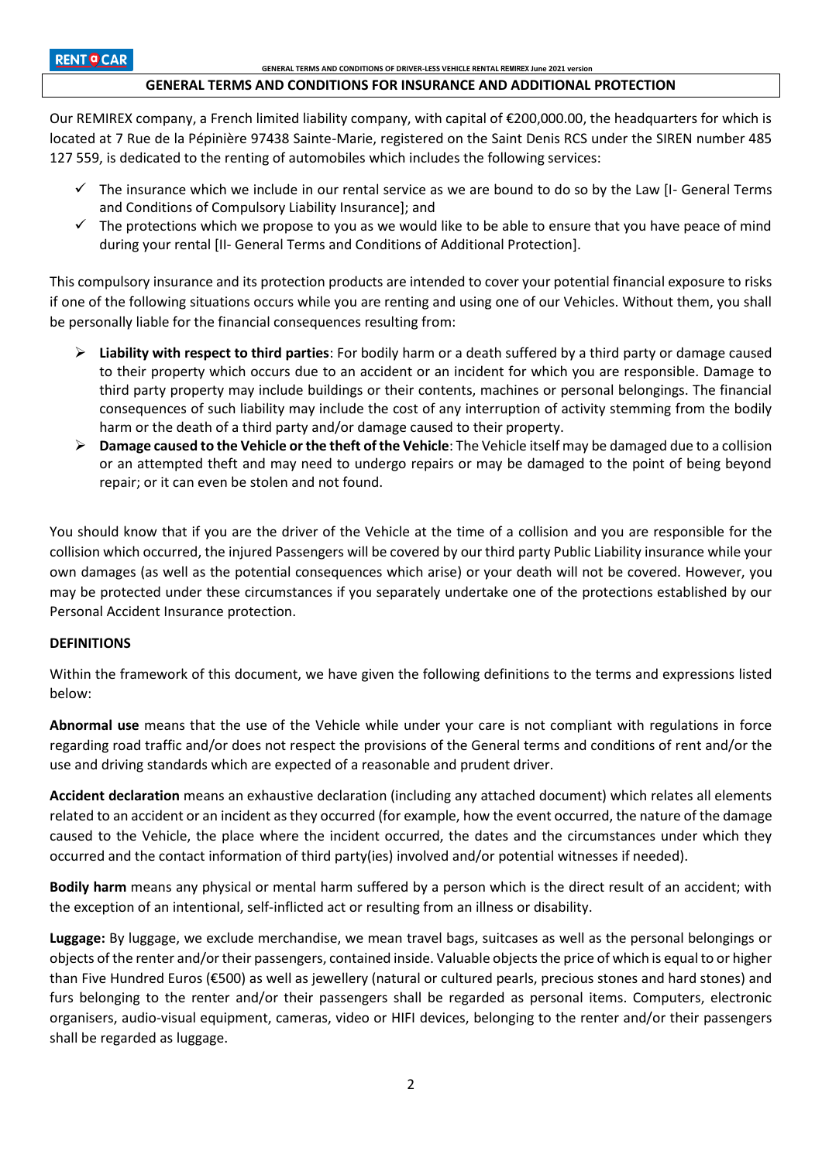## **GENERAL TERMS AND CONDITIONS FOR INSURANCE AND ADDITIONAL PROTECTION**

Our REMIREX company, a French limited liability company, with capital of €200,000.00, the headquarters for which is located at 7 Rue de la Pépinière 97438 Sainte-Marie, registered on the Saint Denis RCS under the SIREN number 485 127 559, is dedicated to the renting of automobiles which includes the following services:

- $\checkmark$  The insurance which we include in our rental service as we are bound to do so by the Law [I- General Terms and Conditions of Compulsory Liability Insurance]; and
- $\checkmark$  The protections which we propose to you as we would like to be able to ensure that you have peace of mind during your rental [II- General Terms and Conditions of Additional Protection].

This compulsory insurance and its protection products are intended to cover your potential financial exposure to risks if one of the following situations occurs while you are renting and using one of our Vehicles. Without them, you shall be personally liable for the financial consequences resulting from:

- **Liability with respect to third parties**: For bodily harm or a death suffered by a third party or damage caused to their property which occurs due to an accident or an incident for which you are responsible. Damage to third party property may include buildings or their contents, machines or personal belongings. The financial consequences of such liability may include the cost of any interruption of activity stemming from the bodily harm or the death of a third party and/or damage caused to their property.
- **Damage caused to the Vehicle or the theft of the Vehicle**: The Vehicle itself may be damaged due to a collision or an attempted theft and may need to undergo repairs or may be damaged to the point of being beyond repair; or it can even be stolen and not found.

You should know that if you are the driver of the Vehicle at the time of a collision and you are responsible for the collision which occurred, the injured Passengers will be covered by our third party Public Liability insurance while your own damages (as well as the potential consequences which arise) or your death will not be covered. However, you may be protected under these circumstances if you separately undertake one of the protections established by our Personal Accident Insurance protection.

## **DEFINITIONS**

Within the framework of this document, we have given the following definitions to the terms and expressions listed below:

**Abnormal use** means that the use of the Vehicle while under your care is not compliant with regulations in force regarding road traffic and/or does not respect the provisions of the General terms and conditions of rent and/or the use and driving standards which are expected of a reasonable and prudent driver.

**Accident declaration** means an exhaustive declaration (including any attached document) which relates all elements related to an accident or an incident as they occurred (for example, how the event occurred, the nature of the damage caused to the Vehicle, the place where the incident occurred, the dates and the circumstances under which they occurred and the contact information of third party(ies) involved and/or potential witnesses if needed).

**Bodily harm** means any physical or mental harm suffered by a person which is the direct result of an accident; with the exception of an intentional, self-inflicted act or resulting from an illness or disability.

**Luggage:** By luggage, we exclude merchandise, we mean travel bags, suitcases as well as the personal belongings or objects of the renter and/or their passengers, contained inside. Valuable objects the price of which is equal to or higher than Five Hundred Euros (€500) as well as jewellery (natural or cultured pearls, precious stones and hard stones) and furs belonging to the renter and/or their passengers shall be regarded as personal items. Computers, electronic organisers, audio-visual equipment, cameras, video or HIFI devices, belonging to the renter and/or their passengers shall be regarded as luggage.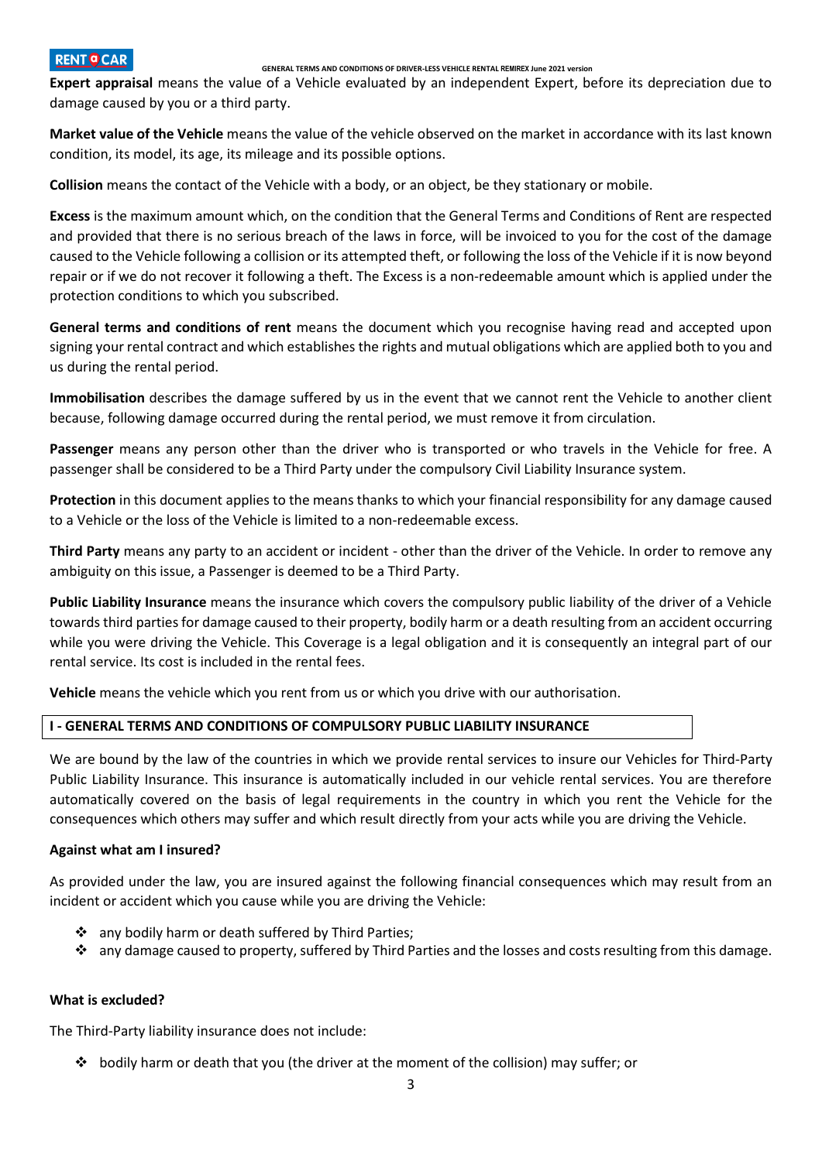### **GENERAL TERMS AND CONDITIONS OF DRIVER-LESS VEHICLE RENTAL REMIREX June 2021 version**

**Expert appraisal** means the value of a Vehicle evaluated by an independent Expert, before its depreciation due to damage caused by you or a third party.

**Market value of the Vehicle** means the value of the vehicle observed on the market in accordance with its last known condition, its model, its age, its mileage and its possible options.

**Collision** means the contact of the Vehicle with a body, or an object, be they stationary or mobile.

**Excess** is the maximum amount which, on the condition that the General Terms and Conditions of Rent are respected and provided that there is no serious breach of the laws in force, will be invoiced to you for the cost of the damage caused to the Vehicle following a collision or its attempted theft, or following the loss of the Vehicle if it is now beyond repair or if we do not recover it following a theft. The Excess is a non-redeemable amount which is applied under the protection conditions to which you subscribed.

**General terms and conditions of rent** means the document which you recognise having read and accepted upon signing your rental contract and which establishes the rights and mutual obligations which are applied both to you and us during the rental period.

**Immobilisation** describes the damage suffered by us in the event that we cannot rent the Vehicle to another client because, following damage occurred during the rental period, we must remove it from circulation.

**Passenger** means any person other than the driver who is transported or who travels in the Vehicle for free. A passenger shall be considered to be a Third Party under the compulsory Civil Liability Insurance system.

**Protection** in this document applies to the means thanks to which your financial responsibility for any damage caused to a Vehicle or the loss of the Vehicle is limited to a non-redeemable excess.

**Third Party** means any party to an accident or incident - other than the driver of the Vehicle. In order to remove any ambiguity on this issue, a Passenger is deemed to be a Third Party.

**Public Liability Insurance** means the insurance which covers the compulsory public liability of the driver of a Vehicle towards third parties for damage caused to their property, bodily harm or a death resulting from an accident occurring while you were driving the Vehicle. This Coverage is a legal obligation and it is consequently an integral part of our rental service. Its cost is included in the rental fees.

**Vehicle** means the vehicle which you rent from us or which you drive with our authorisation.

## **I - GENERAL TERMS AND CONDITIONS OF COMPULSORY PUBLIC LIABILITY INSURANCE**

We are bound by the law of the countries in which we provide rental services to insure our Vehicles for Third-Party Public Liability Insurance. This insurance is automatically included in our vehicle rental services. You are therefore automatically covered on the basis of legal requirements in the country in which you rent the Vehicle for the consequences which others may suffer and which result directly from your acts while you are driving the Vehicle.

## **Against what am I insured?**

As provided under the law, you are insured against the following financial consequences which may result from an incident or accident which you cause while you are driving the Vehicle:

- ❖ any bodily harm or death suffered by Third Parties;
- $\cdot \cdot$  any damage caused to property, suffered by Third Parties and the losses and costs resulting from this damage.

## **What is excluded?**

The Third-Party liability insurance does not include:

bodily harm or death that you (the driver at the moment of the collision) may suffer; or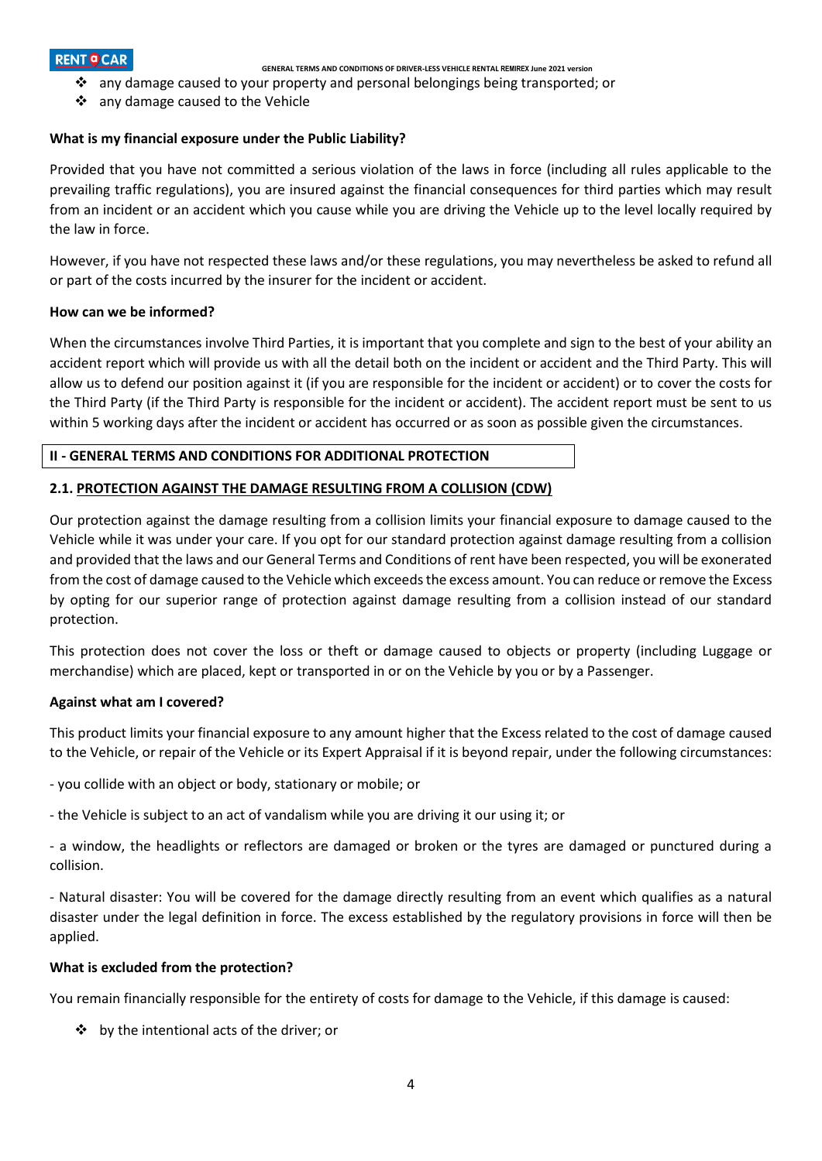**GENERAL TERMS AND CONDITIONS OF DRIVER-LESS VEHICLE RENTAL REMIREX June 2021 version**

- any damage caused to your property and personal belongings being transported; or
- ❖ any damage caused to the Vehicle

## **What is my financial exposure under the Public Liability?**

Provided that you have not committed a serious violation of the laws in force (including all rules applicable to the prevailing traffic regulations), you are insured against the financial consequences for third parties which may result from an incident or an accident which you cause while you are driving the Vehicle up to the level locally required by the law in force.

However, if you have not respected these laws and/or these regulations, you may nevertheless be asked to refund all or part of the costs incurred by the insurer for the incident or accident.

## **How can we be informed?**

When the circumstances involve Third Parties, it is important that you complete and sign to the best of your ability an accident report which will provide us with all the detail both on the incident or accident and the Third Party. This will allow us to defend our position against it (if you are responsible for the incident or accident) or to cover the costs for the Third Party (if the Third Party is responsible for the incident or accident). The accident report must be sent to us within 5 working days after the incident or accident has occurred or as soon as possible given the circumstances.

## **II - GENERAL TERMS AND CONDITIONS FOR ADDITIONAL PROTECTION**

## **2.1. PROTECTION AGAINST THE DAMAGE RESULTING FROM A COLLISION (CDW)**

Our protection against the damage resulting from a collision limits your financial exposure to damage caused to the Vehicle while it was under your care. If you opt for our standard protection against damage resulting from a collision and provided that the laws and our General Terms and Conditions of rent have been respected, you will be exonerated from the cost of damage caused to the Vehicle which exceeds the excess amount. You can reduce or remove the Excess by opting for our superior range of protection against damage resulting from a collision instead of our standard protection.

This protection does not cover the loss or theft or damage caused to objects or property (including Luggage or merchandise) which are placed, kept or transported in or on the Vehicle by you or by a Passenger.

## **Against what am I covered?**

This product limits your financial exposure to any amount higher that the Excess related to the cost of damage caused to the Vehicle, or repair of the Vehicle or its Expert Appraisal if it is beyond repair, under the following circumstances:

- you collide with an object or body, stationary or mobile; or

- the Vehicle is subject to an act of vandalism while you are driving it our using it; or

- a window, the headlights or reflectors are damaged or broken or the tyres are damaged or punctured during a collision.

- Natural disaster: You will be covered for the damage directly resulting from an event which qualifies as a natural disaster under the legal definition in force. The excess established by the regulatory provisions in force will then be applied.

## **What is excluded from the protection?**

You remain financially responsible for the entirety of costs for damage to the Vehicle, if this damage is caused:

by the intentional acts of the driver; or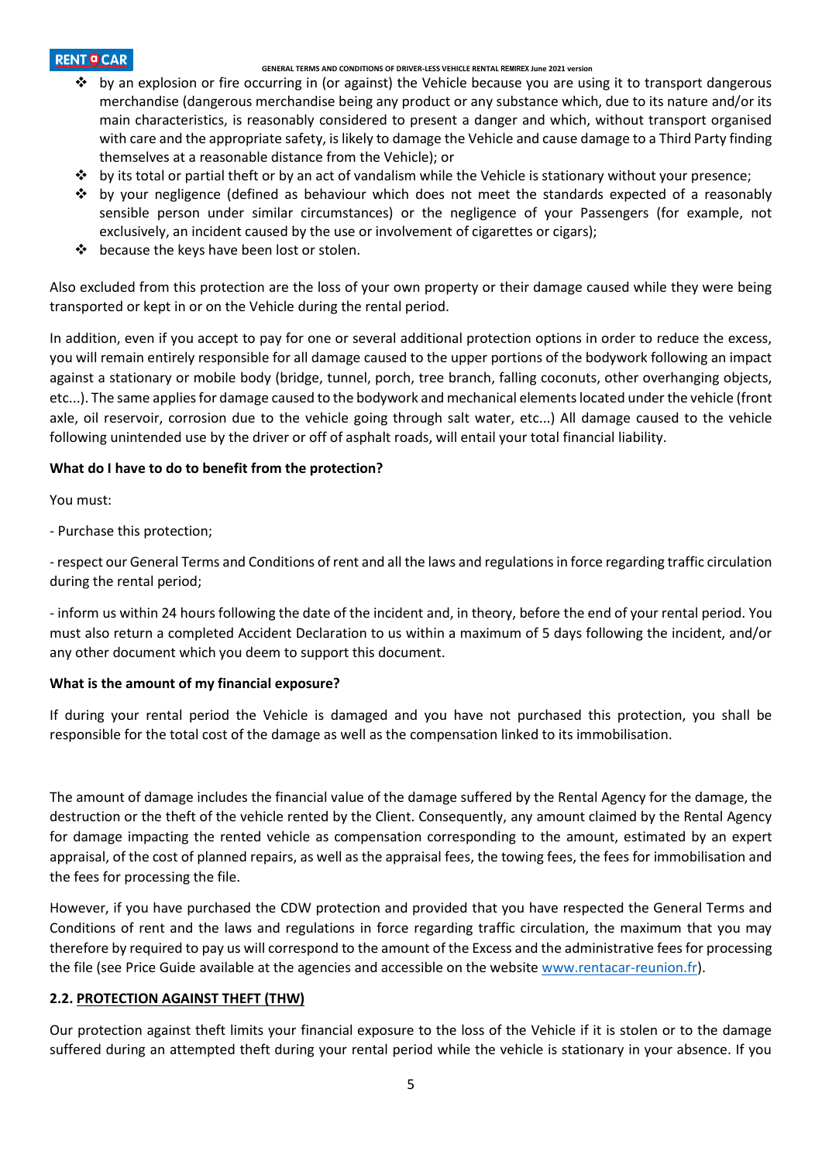## **GENERAL TERMS AND CONDITIONS OF DRIVER-LESS VEHICLE RENTAL REMIREX June 2021 version**

- by an explosion or fire occurring in (or against) the Vehicle because you are using it to transport dangerous merchandise (dangerous merchandise being any product or any substance which, due to its nature and/or its main characteristics, is reasonably considered to present a danger and which, without transport organised with care and the appropriate safety, is likely to damage the Vehicle and cause damage to a Third Party finding themselves at a reasonable distance from the Vehicle); or
- $\div$  by its total or partial theft or by an act of vandalism while the Vehicle is stationary without your presence;
- by your negligence (defined as behaviour which does not meet the standards expected of a reasonably sensible person under similar circumstances) or the negligence of your Passengers (for example, not exclusively, an incident caused by the use or involvement of cigarettes or cigars);
- ❖ because the keys have been lost or stolen.

Also excluded from this protection are the loss of your own property or their damage caused while they were being transported or kept in or on the Vehicle during the rental period.

In addition, even if you accept to pay for one or several additional protection options in order to reduce the excess, you will remain entirely responsible for all damage caused to the upper portions of the bodywork following an impact against a stationary or mobile body (bridge, tunnel, porch, tree branch, falling coconuts, other overhanging objects, etc...). The same applies for damage caused to the bodywork and mechanical elements located under the vehicle (front axle, oil reservoir, corrosion due to the vehicle going through salt water, etc...) All damage caused to the vehicle following unintended use by the driver or off of asphalt roads, will entail your total financial liability.

# **What do I have to do to benefit from the protection?**

You must:

- Purchase this protection;

- respect our General Terms and Conditions of rent and all the laws and regulations in force regarding traffic circulation during the rental period;

- inform us within 24 hours following the date of the incident and, in theory, before the end of your rental period. You must also return a completed Accident Declaration to us within a maximum of 5 days following the incident, and/or any other document which you deem to support this document.

# **What is the amount of my financial exposure?**

If during your rental period the Vehicle is damaged and you have not purchased this protection, you shall be responsible for the total cost of the damage as well as the compensation linked to its immobilisation.

The amount of damage includes the financial value of the damage suffered by the Rental Agency for the damage, the destruction or the theft of the vehicle rented by the Client. Consequently, any amount claimed by the Rental Agency for damage impacting the rented vehicle as compensation corresponding to the amount, estimated by an expert appraisal, of the cost of planned repairs, as well as the appraisal fees, the towing fees, the fees for immobilisation and the fees for processing the file.

However, if you have purchased the CDW protection and provided that you have respected the General Terms and Conditions of rent and the laws and regulations in force regarding traffic circulation, the maximum that you may therefore by required to pay us will correspond to the amount of the Excess and the administrative fees for processing the file (see Price Guide available at the agencies and accessible on the websit[e www.rentacar-reunion.fr\)](http://www.rentacar-reunion.fr/).

# **2.2. PROTECTION AGAINST THEFT (THW)**

Our protection against theft limits your financial exposure to the loss of the Vehicle if it is stolen or to the damage suffered during an attempted theft during your rental period while the vehicle is stationary in your absence. If you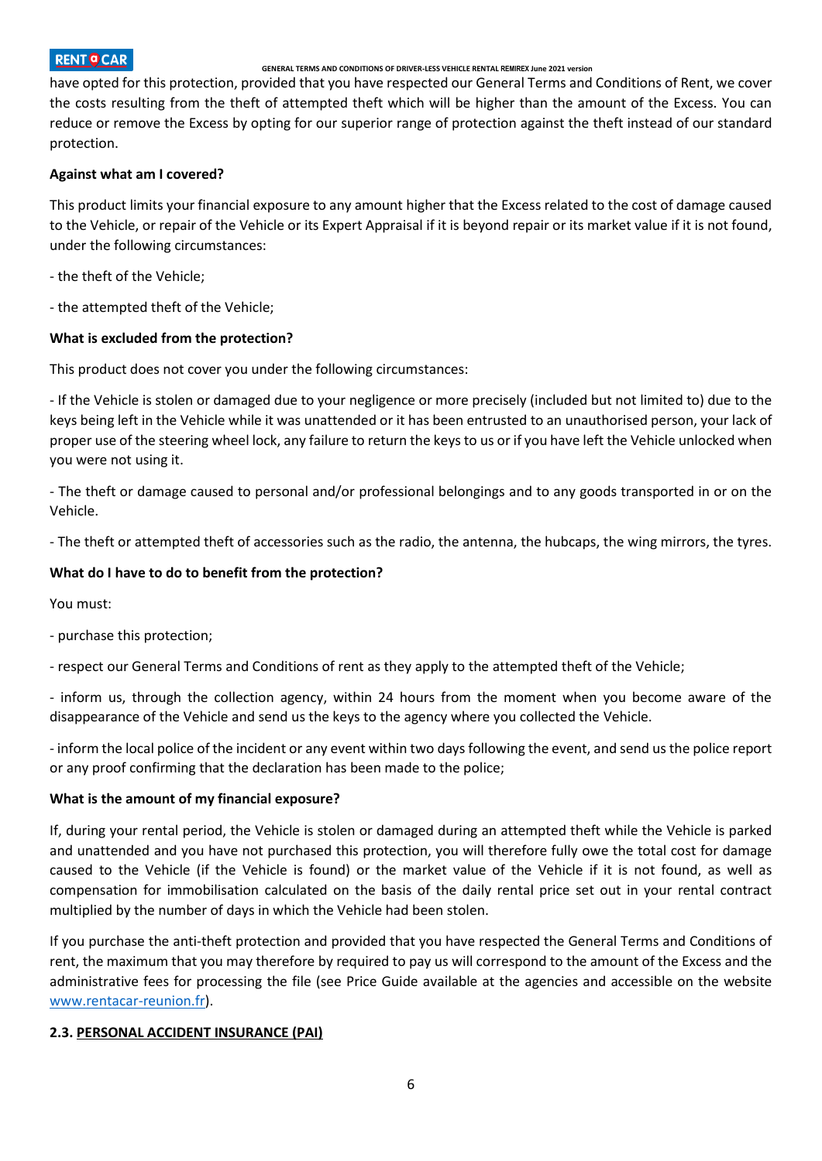## **GENERAL TERMS AND CONDITIONS OF DRIVER-LESS VEHICLE RENTAL REMIREX June 2021 version**

have opted for this protection, provided that you have respected our General Terms and Conditions of Rent, we cover the costs resulting from the theft of attempted theft which will be higher than the amount of the Excess. You can reduce or remove the Excess by opting for our superior range of protection against the theft instead of our standard protection.

# **Against what am I covered?**

This product limits your financial exposure to any amount higher that the Excess related to the cost of damage caused to the Vehicle, or repair of the Vehicle or its Expert Appraisal if it is beyond repair or its market value if it is not found, under the following circumstances:

- the theft of the Vehicle;
- the attempted theft of the Vehicle;

# **What is excluded from the protection?**

This product does not cover you under the following circumstances:

- If the Vehicle is stolen or damaged due to your negligence or more precisely (included but not limited to) due to the keys being left in the Vehicle while it was unattended or it has been entrusted to an unauthorised person, your lack of proper use of the steering wheel lock, any failure to return the keys to us or if you have left the Vehicle unlocked when you were not using it.

- The theft or damage caused to personal and/or professional belongings and to any goods transported in or on the Vehicle.

- The theft or attempted theft of accessories such as the radio, the antenna, the hubcaps, the wing mirrors, the tyres.

# **What do I have to do to benefit from the protection?**

You must:

- purchase this protection;

- respect our General Terms and Conditions of rent as they apply to the attempted theft of the Vehicle;

- inform us, through the collection agency, within 24 hours from the moment when you become aware of the disappearance of the Vehicle and send us the keys to the agency where you collected the Vehicle.

- inform the local police of the incident or any event within two days following the event, and send us the police report or any proof confirming that the declaration has been made to the police;

# **What is the amount of my financial exposure?**

If, during your rental period, the Vehicle is stolen or damaged during an attempted theft while the Vehicle is parked and unattended and you have not purchased this protection, you will therefore fully owe the total cost for damage caused to the Vehicle (if the Vehicle is found) or the market value of the Vehicle if it is not found, as well as compensation for immobilisation calculated on the basis of the daily rental price set out in your rental contract multiplied by the number of days in which the Vehicle had been stolen.

If you purchase the anti-theft protection and provided that you have respected the General Terms and Conditions of rent, the maximum that you may therefore by required to pay us will correspond to the amount of the Excess and the administrative fees for processing the file (see Price Guide available at the agencies and accessible on the website [www.rentacar-reunion.fr\)](http://www.rentacar-reunion.fr/).

# **2.3. PERSONAL ACCIDENT INSURANCE (PAI)**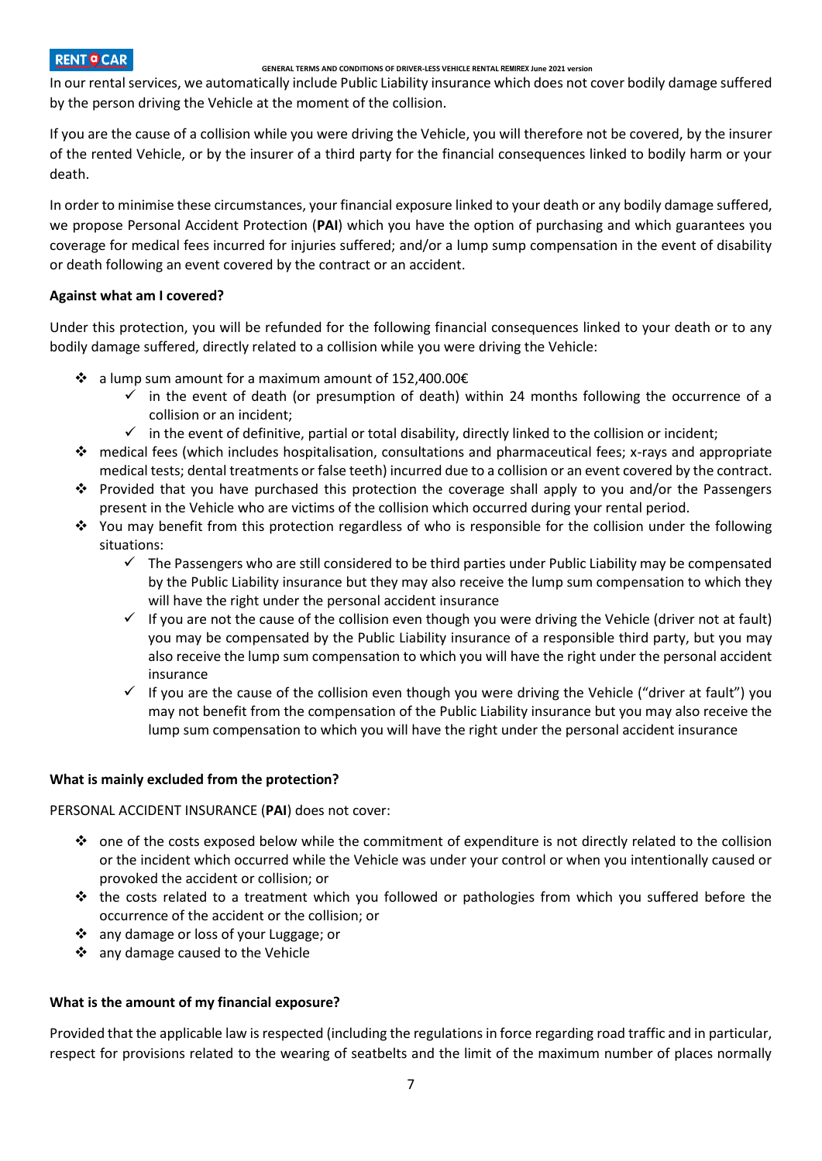## **GENERAL TERMS AND CONDITIONS OF DRIVER-LESS VEHICLE RENTAL REMIREX June 2021 version**

In our rental services, we automatically include Public Liability insurance which does not cover bodily damage suffered by the person driving the Vehicle at the moment of the collision.

If you are the cause of a collision while you were driving the Vehicle, you will therefore not be covered, by the insurer of the rented Vehicle, or by the insurer of a third party for the financial consequences linked to bodily harm or your death.

In order to minimise these circumstances, your financial exposure linked to your death or any bodily damage suffered, we propose Personal Accident Protection (**PAI**) which you have the option of purchasing and which guarantees you coverage for medical fees incurred for injuries suffered; and/or a lump sump compensation in the event of disability or death following an event covered by the contract or an accident.

# **Against what am I covered?**

Under this protection, you will be refunded for the following financial consequences linked to your death or to any bodily damage suffered, directly related to a collision while you were driving the Vehicle:

- $\cdot$  a lump sum amount for a maximum amount of 152,400.00€
	- $\checkmark$  in the event of death (or presumption of death) within 24 months following the occurrence of a collision or an incident;
	- $\checkmark$  in the event of definitive, partial or total disability, directly linked to the collision or incident;
- $\bullet$  medical fees (which includes hospitalisation, consultations and pharmaceutical fees; x-rays and appropriate medical tests; dental treatments or false teeth) incurred due to a collision or an event covered by the contract.
- $\cdot \cdot$  Provided that you have purchased this protection the coverage shall apply to you and/or the Passengers present in the Vehicle who are victims of the collision which occurred during your rental period.
- You may benefit from this protection regardless of who is responsible for the collision under the following situations:
	- $\checkmark$  The Passengers who are still considered to be third parties under Public Liability may be compensated by the Public Liability insurance but they may also receive the lump sum compensation to which they will have the right under the personal accident insurance
	- $\checkmark$  If you are not the cause of the collision even though you were driving the Vehicle (driver not at fault) you may be compensated by the Public Liability insurance of a responsible third party, but you may also receive the lump sum compensation to which you will have the right under the personal accident insurance
	- $\checkmark$  If you are the cause of the collision even though you were driving the Vehicle ("driver at fault") you may not benefit from the compensation of the Public Liability insurance but you may also receive the lump sum compensation to which you will have the right under the personal accident insurance

# **What is mainly excluded from the protection?**

PERSONAL ACCIDENT INSURANCE (**PAI**) does not cover:

- $\bullet$  one of the costs exposed below while the commitment of expenditure is not directly related to the collision or the incident which occurred while the Vehicle was under your control or when you intentionally caused or provoked the accident or collision; or
- $\cdot \cdot$  the costs related to a treatment which you followed or pathologies from which you suffered before the occurrence of the accident or the collision; or
- any damage or loss of your Luggage; or
- any damage caused to the Vehicle

# **What is the amount of my financial exposure?**

Provided that the applicable law is respected (including the regulations in force regarding road traffic and in particular, respect for provisions related to the wearing of seatbelts and the limit of the maximum number of places normally